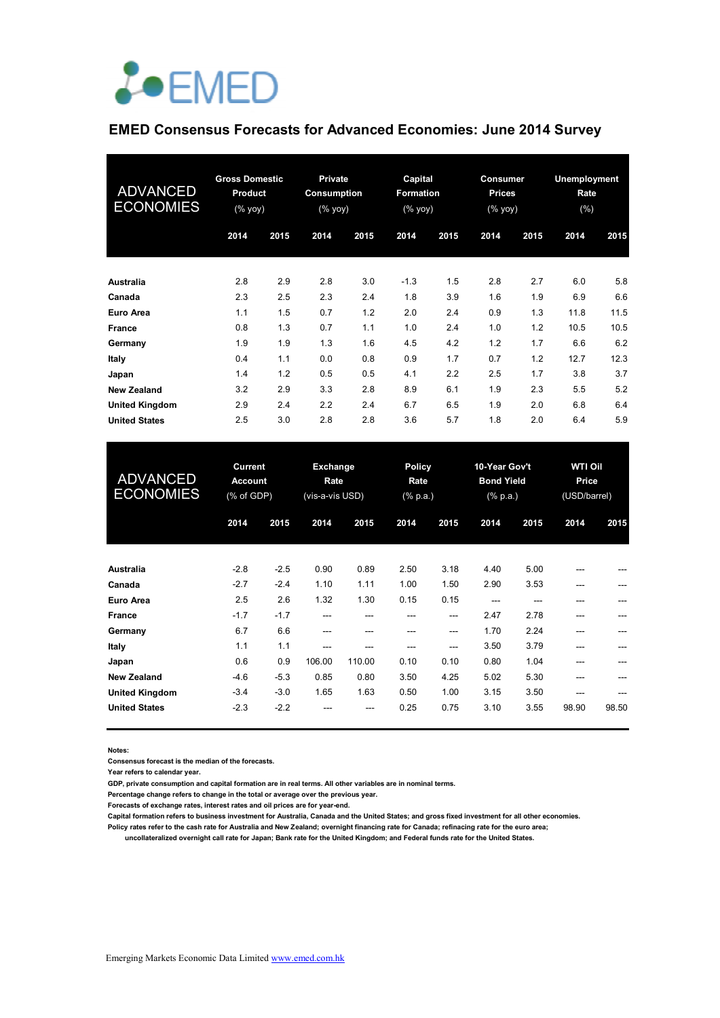

### **EMED Consensus Forecasts for Advanced Economies: June 2014 Survey**

| <b>ADVANCED</b><br><b>ECONOMIES</b> | <b>Gross Domestic</b><br><b>Product</b><br>$(%$ (% yoy) |      | <b>Private</b><br><b>Consumption</b><br>$(%$ (% yoy) |      | Capital<br>Formation<br>$(%$ (% yoy) |      | <b>Consumer</b><br><b>Prices</b><br>$(%$ (% yoy) |      | <b>Unemployment</b><br>Rate<br>$(\% )$ |      |
|-------------------------------------|---------------------------------------------------------|------|------------------------------------------------------|------|--------------------------------------|------|--------------------------------------------------|------|----------------------------------------|------|
|                                     | 2014                                                    | 2015 | 2014                                                 | 2015 | 2014                                 | 2015 | 2014                                             | 2015 | 2014                                   | 2015 |
| <b>Australia</b>                    | 2.8                                                     | 2.9  | 2.8                                                  | 3.0  | $-1.3$                               | 1.5  | 2.8                                              | 2.7  | 6.0                                    | 5.8  |
| Canada                              | 2.3                                                     | 2.5  | 2.3                                                  | 2.4  | 1.8                                  | 3.9  | 1.6                                              | 1.9  | 6.9                                    | 6.6  |
| Euro Area                           | 1.1                                                     | 1.5  | 0.7                                                  | 1.2  | 2.0                                  | 2.4  | 0.9                                              | 1.3  | 11.8                                   | 11.5 |
| <b>France</b>                       | 0.8                                                     | 1.3  | 0.7                                                  | 1.1  | 1.0                                  | 2.4  | 1.0                                              | 1.2  | 10.5                                   | 10.5 |
| Germany                             | 1.9                                                     | 1.9  | 1.3                                                  | 1.6  | 4.5                                  | 4.2  | 1.2                                              | 1.7  | 6.6                                    | 6.2  |
| Italy                               | 0.4                                                     | 1.1  | 0.0                                                  | 0.8  | 0.9                                  | 1.7  | 0.7                                              | 1.2  | 12.7                                   | 12.3 |
| Japan                               | 1.4                                                     | 1.2  | 0.5                                                  | 0.5  | 4.1                                  | 2.2  | 2.5                                              | 1.7  | 3.8                                    | 3.7  |
| <b>New Zealand</b>                  | 3.2                                                     | 2.9  | 3.3                                                  | 2.8  | 8.9                                  | 6.1  | 1.9                                              | 2.3  | 5.5                                    | 5.2  |
| <b>United Kingdom</b>               | 2.9                                                     | 2.4  | 2.2                                                  | 2.4  | 6.7                                  | 6.5  | 1.9                                              | 2.0  | 6.8                                    | 6.4  |
| <b>United States</b>                | 2.5                                                     | 3.0  | 2.8                                                  | 2.8  | 3.6                                  | 5.7  | 1.8                                              | 2.0  | 6.4                                    | 5.9  |

| <b>Current</b><br><b>ADVANCED</b><br><b>Account</b><br><b>ECONOMIES</b><br>(% of GDP) |        |        | Exchange<br>Rate<br>(vis-a-vis USD) |        | <b>Policy</b><br>Rate<br>$(% \mathbb{R}^2)$ (% p.a.) |      | 10-Year Gov't<br><b>Bond Yield</b><br>$(% \mathbb{R}^2)$ (% p.a.) |      | <b>WTI Oil</b><br>Price<br>(USD/barrel) |       |
|---------------------------------------------------------------------------------------|--------|--------|-------------------------------------|--------|------------------------------------------------------|------|-------------------------------------------------------------------|------|-----------------------------------------|-------|
|                                                                                       | 2014   | 2015   | 2014                                | 2015   | 2014                                                 | 2015 | 2014                                                              | 2015 | 2014                                    | 2015  |
| Australia                                                                             | $-2.8$ | $-2.5$ | 0.90                                | 0.89   | 2.50                                                 | 3.18 | 4.40                                                              | 5.00 | ---                                     |       |
| Canada                                                                                | $-2.7$ | $-2.4$ | 1.10                                | 1.11   | 1.00                                                 | 1.50 | 2.90                                                              | 3.53 | $- - -$                                 | ---   |
| Euro Area                                                                             | 2.5    | 2.6    | 1.32                                | 1.30   | 0.15                                                 | 0.15 | ---                                                               | ---  | ---                                     |       |
| <b>France</b>                                                                         | $-1.7$ | $-1.7$ | ---                                 | ---    | ---                                                  | ---  | 2.47                                                              | 2.78 | ---                                     |       |
| Germany                                                                               | 6.7    | 6.6    | ---                                 | ---    | ---                                                  | ---  | 1.70                                                              | 2.24 | ---                                     |       |
| Italy                                                                                 | 1.1    | 1.1    | ---                                 | ---    | ---                                                  | ---  | 3.50                                                              | 3.79 | ---                                     |       |
| Japan                                                                                 | 0.6    | 0.9    | 106.00                              | 110.00 | 0.10                                                 | 0.10 | 0.80                                                              | 1.04 | ---                                     |       |
| <b>New Zealand</b>                                                                    | $-4.6$ | $-5.3$ | 0.85                                | 0.80   | 3.50                                                 | 4.25 | 5.02                                                              | 5.30 | ---                                     |       |
| <b>United Kingdom</b>                                                                 | $-3.4$ | $-3.0$ | 1.65                                | 1.63   | 0.50                                                 | 1.00 | 3.15                                                              | 3.50 | ---                                     | ---   |
| <b>United States</b>                                                                  | $-2.3$ | $-2.2$ |                                     | ---    | 0.25                                                 | 0.75 | 3.10                                                              | 3.55 | 98.90                                   | 98.50 |

**Notes:** 

**Consensus forecast is the median of the forecasts.**

**Year refers to calendar year.**

**GDP, private consumption and capital formation are in real terms. All other variables are in nominal terms.**

**Percentage change refers to change in the total or average over the previous year.**

**Forecasts of exchange rates, interest rates and oil prices are for year-end.**

**Capital formation refers to business investment for Australia, Canada and the United States; and gross fixed investment for all other economies. Policy rates refer to the cash rate for Australia and New Zealand; overnight financing rate for Canada; refinacing rate for the euro area;** 

 **uncollateralized overnight call rate for Japan; Bank rate for the United Kingdom; and Federal funds rate for the United States.**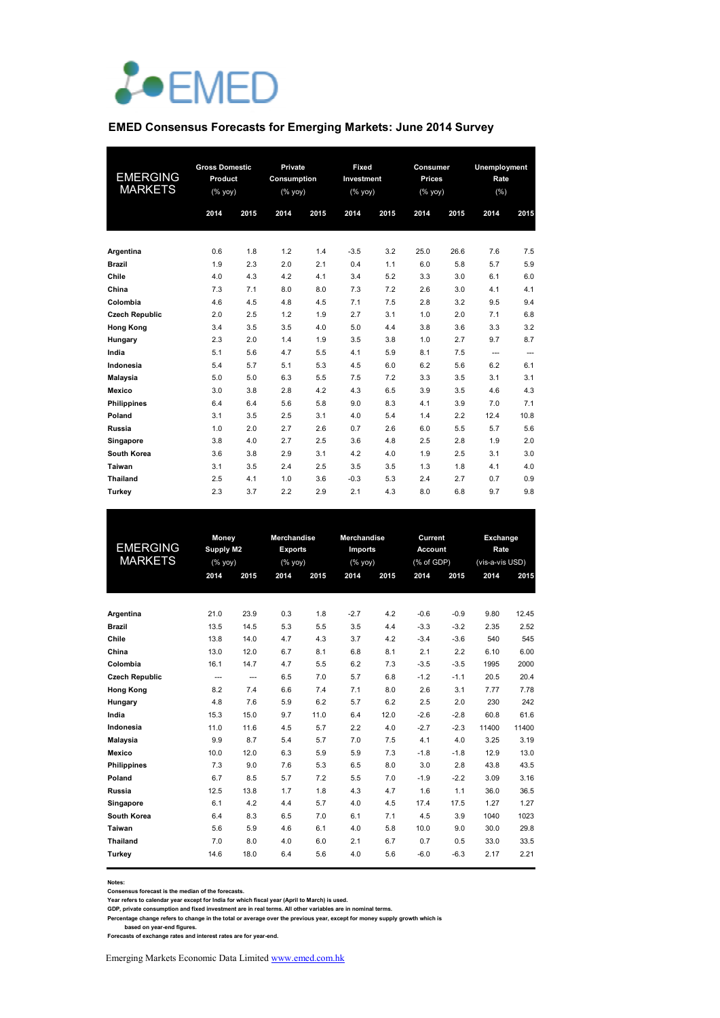

#### **EMED Consensus Forecasts for Emerging Markets: June 2014 Survey**

| <b>EMERGING</b><br><b>MARKETS</b> | <b>Gross Domestic</b><br>Product<br>$(% \mathsf{Y}^{\prime }\mathsf{Y}^{\prime }\mathsf{Y}^{\prime })$ |      | Private<br>Consumption<br>(% yoy) |      | Fixed<br>Investment<br>$(% \mathsf{Y}^{\prime }\mathsf{Y}^{\prime }\mathsf{Y}^{\prime })$ |      | Consumer<br><b>Prices</b><br>$(%$ $\sqrt{)$ $\sqrt{)$ |      | Unemployment<br>Rate<br>(% ) |      |  |
|-----------------------------------|--------------------------------------------------------------------------------------------------------|------|-----------------------------------|------|-------------------------------------------------------------------------------------------|------|-------------------------------------------------------|------|------------------------------|------|--|
|                                   | 2014                                                                                                   | 2015 | 2014                              | 2015 | 2014                                                                                      | 2015 | 2014                                                  | 2015 | 2014                         | 2015 |  |
| Argentina                         | 0.6                                                                                                    | 1.8  | 1.2                               | 1.4  | $-3.5$                                                                                    | 3.2  | 25.0                                                  | 26.6 | 7.6                          | 7.5  |  |
| <b>Brazil</b>                     | 1.9                                                                                                    | 2.3  | 2.0                               | 2.1  | 0.4                                                                                       | 1.1  | 6.0                                                   | 5.8  | 5.7                          | 5.9  |  |
| Chile                             | 4.0                                                                                                    | 4.3  | 4.2                               | 4.1  | 3.4                                                                                       | 5.2  | 3.3                                                   | 3.0  | 6.1                          | 6.0  |  |
| China                             | 7.3                                                                                                    | 7.1  | 8.0                               | 8.0  | 7.3                                                                                       | 7.2  | 2.6                                                   | 3.0  | 4.1                          | 4.1  |  |
| Colombia                          | 4.6                                                                                                    | 4.5  | 4.8                               | 4.5  | 7.1                                                                                       | 7.5  | 2.8                                                   | 3.2  | 9.5                          | 9.4  |  |
| <b>Czech Republic</b>             | 2.0                                                                                                    | 2.5  | 1.2                               | 1.9  | 2.7                                                                                       | 3.1  | 1.0                                                   | 2.0  | 7.1                          | 6.8  |  |
| <b>Hong Kong</b>                  | 3.4                                                                                                    | 3.5  | 3.5                               | 4.0  | 5.0                                                                                       | 4.4  | 3.8                                                   | 3.6  | 3.3                          | 3.2  |  |
| Hungary                           | 2.3                                                                                                    | 2.0  | 1.4                               | 1.9  | 3.5                                                                                       | 3.8  | 1.0                                                   | 2.7  | 9.7                          | 8.7  |  |
| India                             | 5.1                                                                                                    | 5.6  | 4.7                               | 5.5  | 4.1                                                                                       | 5.9  | 8.1                                                   | 7.5  | ---                          | ---  |  |
| Indonesia                         | 5.4                                                                                                    | 5.7  | 5.1                               | 5.3  | 4.5                                                                                       | 6.0  | 6.2                                                   | 5.6  | 6.2                          | 6.1  |  |
| Malaysia                          | 5.0                                                                                                    | 5.0  | 6.3                               | 5.5  | 7.5                                                                                       | 7.2  | 3.3                                                   | 3.5  | 3.1                          | 3.1  |  |
| <b>Mexico</b>                     | 3.0                                                                                                    | 3.8  | 2.8                               | 4.2  | 4.3                                                                                       | 6.5  | 3.9                                                   | 3.5  | 4.6                          | 4.3  |  |
| <b>Philippines</b>                | 6.4                                                                                                    | 6.4  | 5.6                               | 5.8  | 9.0                                                                                       | 8.3  | 4.1                                                   | 3.9  | 7.0                          | 7.1  |  |
| Poland                            | 3.1                                                                                                    | 3.5  | 2.5                               | 3.1  | 4.0                                                                                       | 5.4  | 1.4                                                   | 2.2  | 12.4                         | 10.8 |  |
| Russia                            | 1.0                                                                                                    | 2.0  | 2.7                               | 2.6  | 0.7                                                                                       | 2.6  | 6.0                                                   | 5.5  | 5.7                          | 5.6  |  |
| Singapore                         | 3.8                                                                                                    | 4.0  | 2.7                               | 2.5  | 3.6                                                                                       | 4.8  | 2.5                                                   | 2.8  | 1.9                          | 2.0  |  |
| South Korea                       | 3.6                                                                                                    | 3.8  | 2.9                               | 3.1  | 4.2                                                                                       | 4.0  | 1.9                                                   | 2.5  | 3.1                          | 3.0  |  |
| Taiwan                            | 3.1                                                                                                    | 3.5  | 2.4                               | 2.5  | 3.5                                                                                       | 3.5  | 1.3                                                   | 1.8  | 4.1                          | 4.0  |  |
| <b>Thailand</b>                   | 2.5                                                                                                    | 4.1  | 1.0                               | 3.6  | $-0.3$                                                                                    | 5.3  | 2.4                                                   | 2.7  | 0.7                          | 0.9  |  |
| Turkey                            | 2.3                                                                                                    | 3.7  | 2.2                               | 2.9  | 2.1                                                                                       | 4.3  | 8.0                                                   | 6.8  | 9.7                          | 9.8  |  |

|                       |                | Money                    |                | <b>Merchandise</b> | <b>Merchandise</b> |      | Current        |        | Exchange        |       |
|-----------------------|----------------|--------------------------|----------------|--------------------|--------------------|------|----------------|--------|-----------------|-------|
| <b>EMERGING</b>       | Supply M2      |                          | <b>Exports</b> |                    | Imports            |      | <b>Account</b> |        | Rate            |       |
| <b>MARKETS</b>        |                | $(%$ (% yoy)             |                | $(%$ (% yoy)       | $(%$ (% yoy)       |      | (% of GDP)     |        | (vis-a-vis USD) |       |
|                       | 2014           | 2015                     | 2014           | 2015               | 2014               | 2015 | 2014           | 2015   | 2014            | 2015  |
|                       |                |                          |                |                    |                    |      |                |        |                 |       |
| Argentina             | 21.0           | 23.9                     | 0.3            | 1.8                | $-2.7$             | 4.2  | $-0.6$         | $-0.9$ | 9.80            | 12.45 |
| <b>Brazil</b>         | 13.5           | 14.5                     | 5.3            | 5.5                | 3.5                | 4.4  | $-3.3$         | $-3.2$ | 2.35            | 2.52  |
| Chile                 | 13.8           | 14.0                     | 4.7            | 4.3                | 3.7                | 4.2  | $-3.4$         | $-3.6$ | 540             | 545   |
| China                 | 13.0           | 12.0                     | 6.7            | 8.1                | 6.8                | 8.1  | 2.1            | 2.2    | 6.10            | 6.00  |
| Colombia              | 16.1           | 14.7                     | 4.7            | 5.5                | 6.2                | 7.3  | $-3.5$         | $-3.5$ | 1995            | 2000  |
| <b>Czech Republic</b> | $\overline{a}$ | $\overline{\phantom{a}}$ | 6.5            | 7.0                | 5.7                | 6.8  | $-1.2$         | $-1.1$ | 20.5            | 20.4  |
| <b>Hong Kong</b>      | 8.2            | 7.4                      | 6.6            | 7.4                | 7.1                | 8.0  | 2.6            | 3.1    | 7.77            | 7.78  |
| Hungary               | 4.8            | 7.6                      | 5.9            | 6.2                | 5.7                | 6.2  | 2.5            | 2.0    | 230             | 242   |
| India                 | 15.3           | 15.0                     | 9.7            | 11.0               | 6.4                | 12.0 | $-2.6$         | $-2.8$ | 60.8            | 61.6  |
| Indonesia             | 11.0           | 11.6                     | 4.5            | 5.7                | 2.2                | 4.0  | $-2.7$         | $-2.3$ | 11400           | 11400 |
| Malaysia              | 9.9            | 8.7                      | 5.4            | 5.7                | 7.0                | 7.5  | 4.1            | 4.0    | 3.25            | 3.19  |
| Mexico                | 10.0           | 12.0                     | 6.3            | 5.9                | 5.9                | 7.3  | $-1.8$         | $-1.8$ | 12.9            | 13.0  |
| <b>Philippines</b>    | 7.3            | 9.0                      | 7.6            | 5.3                | 6.5                | 8.0  | 3.0            | 2.8    | 43.8            | 43.5  |
| Poland                | 6.7            | 8.5                      | 5.7            | 7.2                | 5.5                | 7.0  | $-1.9$         | $-2.2$ | 3.09            | 3.16  |
| Russia                | 12.5           | 13.8                     | 1.7            | 1.8                | 4.3                | 4.7  | 1.6            | 1.1    | 36.0            | 36.5  |
| Singapore             | 6.1            | 4.2                      | 4.4            | 5.7                | 4.0                | 4.5  | 17.4           | 17.5   | 1.27            | 1.27  |
| South Korea           | 6.4            | 8.3                      | 6.5            | 7.0                | 6.1                | 7.1  | 4.5            | 3.9    | 1040            | 1023  |
| Taiwan                | 5.6            | 5.9                      | 4.6            | 6.1                | 4.0                | 5.8  | 10.0           | 9.0    | 30.0            | 29.8  |
| <b>Thailand</b>       | 7.0            | 8.0                      | 4.0            | 6.0                | 2.1                | 6.7  | 0.7            | 0.5    | 33.0            | 33.5  |
| Turkey                | 14.6           | 18.0                     | 6.4            | 5.6                | 4.0                | 5.6  | $-6.0$         | $-6.3$ | 2.17            | 2.21  |
|                       |                |                          |                |                    |                    |      |                |        |                 |       |

**Notes:** 

**Consensus forecast is the median of the forecasts.**

Year refers to calendar year except for India for which fiscal year (April to March) is used.<br>GDP, private consumption and fixed investment are in real terms. All other variables are in nominal terms.<br>Percentage change ref

Emerging Markets Economic Data Limited www.emed.com.hk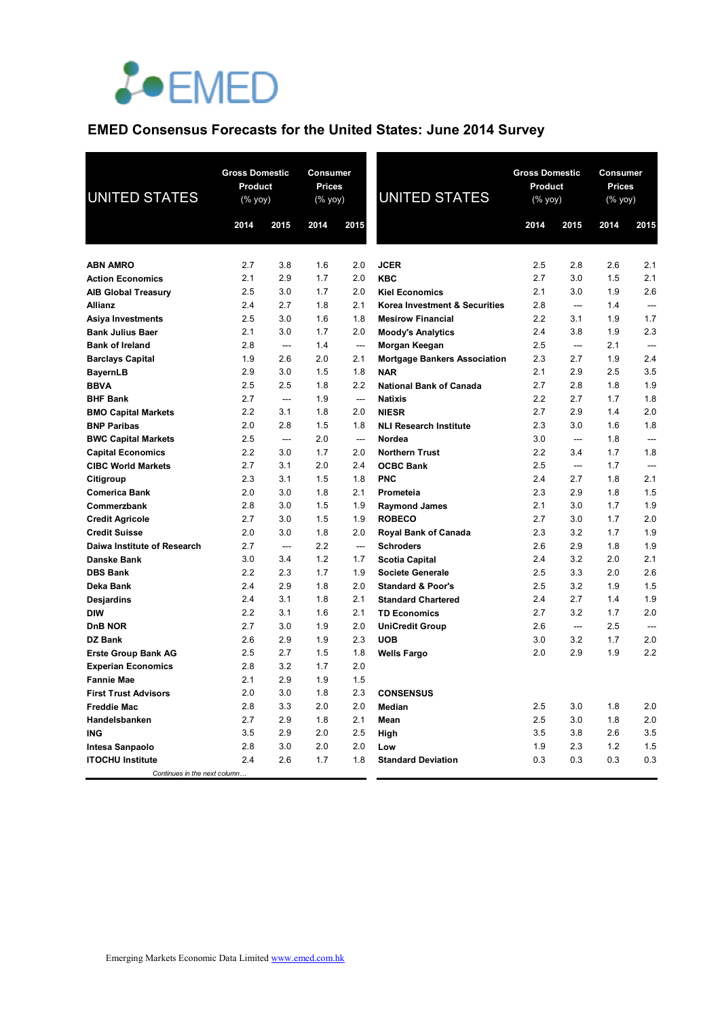

# **EMED Consensus Forecasts for the United States: June 2014 Survey**

| <b>UNITED STATES</b>                             | <b>Gross Domestic</b><br><b>Product</b><br>$(\%$ yoy) |            | <b>Consumer</b><br><b>Prices</b><br>(% yoy) |                          | <b>UNITED STATES</b>                | <b>Gross Domestic</b><br><b>Product</b><br>$(\sqrt[6]{6}$ yoy) |                               |            | Consumer<br><b>Prices</b><br>(% yoy) |  |
|--------------------------------------------------|-------------------------------------------------------|------------|---------------------------------------------|--------------------------|-------------------------------------|----------------------------------------------------------------|-------------------------------|------------|--------------------------------------|--|
|                                                  | 2014                                                  | 2015       | 2014                                        | 2015                     |                                     | 2014                                                           | 2015                          | 2014       | 2015                                 |  |
|                                                  |                                                       |            |                                             |                          |                                     |                                                                |                               |            |                                      |  |
| <b>ABN AMRO</b>                                  | 2.7                                                   | 3.8        | 1.6                                         | 2.0                      | <b>JCER</b>                         | 2.5                                                            | 2.8                           | 2.6        | 2.1                                  |  |
| <b>Action Economics</b>                          | 2.1                                                   | 2.9        | 1.7                                         | 2.0                      | <b>KBC</b>                          | 2.7                                                            | 3.0                           | 1.5        | 2.1                                  |  |
| <b>AIB Global Treasury</b>                       | 2.5                                                   | 3.0        | 1.7                                         | 2.0                      | <b>Kiel Economics</b>               | 2.1                                                            | 3.0                           | 1.9        | 2.6                                  |  |
| Allianz                                          | 2.4                                                   | 2.7        | 1.8                                         | 2.1                      | Korea Investment & Securities       | 2.8                                                            | $\sim$                        | 1.4        | $\overline{a}$                       |  |
| Asiya Investments                                | 2.5                                                   | 3.0        | 1.6                                         | 1.8                      | <b>Mesirow Financial</b>            | 2.2                                                            | 3.1                           | 1.9        | 1.7                                  |  |
| <b>Bank Julius Baer</b>                          | 2.1                                                   | 3.0        | 1.7                                         | 2.0                      | <b>Moody's Analytics</b>            | 2.4                                                            | 3.8                           | 1.9        | 2.3                                  |  |
| <b>Bank of Ireland</b>                           | 2.8                                                   | $---$      | 1.4                                         | $\overline{\phantom{a}}$ | Morgan Keegan                       | 2.5                                                            | $\overline{\phantom{a}}$      | 2.1        | ---                                  |  |
| <b>Barclays Capital</b>                          | 1.9                                                   | 2.6        | 2.0                                         | 2.1                      | <b>Mortgage Bankers Association</b> | 2.3                                                            | 2.7                           | 1.9        | 2.4                                  |  |
| <b>BayernLB</b>                                  | 2.9                                                   | 3.0        | 1.5                                         | 1.8                      | <b>NAR</b>                          | 2.1                                                            | 2.9                           | 2.5        | 3.5                                  |  |
| <b>BBVA</b>                                      | 2.5                                                   | 2.5        | 1.8                                         | 2.2                      | <b>National Bank of Canada</b>      | 2.7                                                            | 2.8                           | 1.8        | 1.9                                  |  |
| <b>BHF Bank</b>                                  | 2.7                                                   | $\sim$     | 1.9                                         | $\sim$                   | <b>Natixis</b>                      | 2.2                                                            | 2.7                           | 1.7        | 1.8                                  |  |
| <b>BMO Capital Markets</b>                       | 2.2                                                   | 3.1        | 1.8                                         | 2.0                      | <b>NIESR</b>                        | 2.7                                                            | 2.9                           | 1.4        | 2.0                                  |  |
| <b>BNP Paribas</b>                               | 2.0                                                   | 2.8        | 1.5                                         | 1.8                      | <b>NLI Research Institute</b>       | 2.3                                                            | 3.0                           | 1.6        | 1.8                                  |  |
| <b>BWC Capital Markets</b>                       | 2.5                                                   | ---        | 2.0                                         | ---                      | Nordea                              | 3.0                                                            | $\hspace{1.5cm} \textbf{---}$ | 1.8        | $\overline{a}$                       |  |
| <b>Capital Economics</b>                         | 2.2                                                   | 3.0        | 1.7                                         | 2.0                      | <b>Northern Trust</b>               | 2.2                                                            | 3.4                           | 1.7        | 1.8                                  |  |
| <b>CIBC World Markets</b>                        | 2.7                                                   | 3.1        | 2.0                                         | 2.4                      | <b>OCBC Bank</b>                    | 2.5                                                            | $\overline{a}$                | 1.7        | $\sim$                               |  |
| Citigroup                                        | 2.3                                                   | 3.1        | 1.5                                         | 1.8                      | <b>PNC</b>                          | 2.4                                                            | 2.7                           | 1.8        | 2.1                                  |  |
| <b>Comerica Bank</b>                             | 2.0                                                   | 3.0        | 1.8                                         | 2.1                      | Prometeia                           | 2.3                                                            | 2.9                           | 1.8        | 1.5                                  |  |
| Commerzbank                                      | 2.8                                                   | 3.0        | 1.5                                         | 1.9                      | <b>Raymond James</b>                | 2.1                                                            | 3.0                           | 1.7        | 1.9                                  |  |
| <b>Credit Agricole</b>                           | 2.7                                                   | 3.0        | 1.5                                         | 1.9                      | <b>ROBECO</b>                       | 2.7                                                            | 3.0                           | 1.7        | 2.0                                  |  |
| <b>Credit Suisse</b>                             | 2.0                                                   | 3.0        | 1.8                                         | 2.0                      | Royal Bank of Canada                | 2.3                                                            | 3.2                           | 1.7        | 1.9                                  |  |
| Daiwa Institute of Research                      | 2.7                                                   | ---        | 2.2                                         | ---                      | <b>Schroders</b>                    | 2.6                                                            | 2.9                           | 1.8        | 1.9                                  |  |
| Danske Bank                                      | 3.0                                                   | 3.4        | 1.2                                         | 1.7                      | <b>Scotia Capital</b>               | 2.4                                                            | 3.2                           | 2.0        | 2.1                                  |  |
| <b>DBS Bank</b>                                  | 2.2                                                   | 2.3        | 1.7                                         | 1.9                      | <b>Societe Generale</b>             | 2.5                                                            | 3.3                           | 2.0        | 2.6                                  |  |
| Deka Bank                                        | 2.4                                                   | 2.9        | 1.8                                         | 2.0                      | <b>Standard &amp; Poor's</b>        | 2.5                                                            | 3.2                           | 1.9        | 1.5                                  |  |
| Desjardins                                       | 2.4                                                   | 3.1        | 1.8                                         | 2.1                      | <b>Standard Chartered</b>           | 2.4                                                            | 2.7                           | 1.4        | 1.9                                  |  |
| <b>DIW</b>                                       | 2.2                                                   | 3.1        | 1.6                                         | 2.1                      | <b>TD Economics</b>                 | 2.7                                                            | 3.2                           | 1.7        | 2.0                                  |  |
| DnB NOR                                          | 2.7                                                   | 3.0        | 1.9                                         | 2.0                      | <b>UniCredit Group</b>              | 2.6                                                            | $\overline{a}$                | 2.5        | $\sim$                               |  |
| DZ Bank                                          | 2.6<br>2.5                                            | 2.9<br>2.7 | 1.9<br>1.5                                  | 2.3<br>1.8               | <b>UOB</b>                          | 3.0<br>2.0                                                     | 3.2<br>2.9                    | 1.7<br>1.9 | 2.0<br>2.2                           |  |
| <b>Erste Group Bank AG</b>                       | 2.8                                                   | 3.2        | 1.7                                         | 2.0                      | <b>Wells Fargo</b>                  |                                                                |                               |            |                                      |  |
| <b>Experian Economics</b>                        | 2.1                                                   | 2.9        | 1.9                                         | 1.5                      |                                     |                                                                |                               |            |                                      |  |
| <b>Fannie Mae</b><br><b>First Trust Advisors</b> | 2.0                                                   | 3.0        | 1.8                                         | 2.3                      | <b>CONSENSUS</b>                    |                                                                |                               |            |                                      |  |
| <b>Freddie Mac</b>                               | 2.8                                                   | 3.3        | 2.0                                         | 2.0                      | Median                              | 2.5                                                            | 3.0                           | 1.8        | 2.0                                  |  |
| Handelsbanken                                    | 2.7                                                   | 2.9        | 1.8                                         | 2.1                      | Mean                                | 2.5                                                            | 3.0                           | 1.8        | 2.0                                  |  |
| ING                                              | 3.5                                                   | 2.9        | 2.0                                         | 2.5                      |                                     | 3.5                                                            | 3.8                           | 2.6        | 3.5                                  |  |
|                                                  | 2.8                                                   | 3.0        | 2.0                                         | 2.0                      | High<br>Low                         | 1.9                                                            | 2.3                           | 1.2        | 1.5                                  |  |
| Intesa Sanpaolo<br><b>ITOCHU Institute</b>       | 2.4                                                   | 2.6        | 1.7                                         | 1.8                      | <b>Standard Deviation</b>           | 0.3                                                            | 0.3                           | 0.3        | 0.3                                  |  |
| Continues in the next column                     |                                                       |            |                                             |                          |                                     |                                                                |                               |            |                                      |  |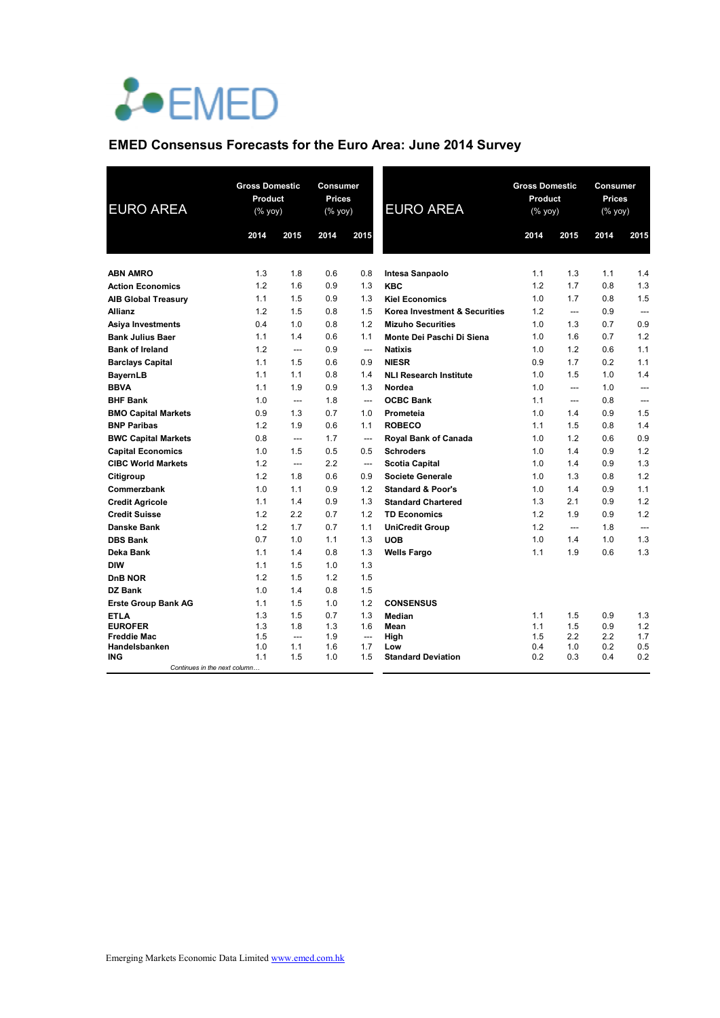

## **EMED Consensus Forecasts for the Euro Area: June 2014 Survey**

| <b>EURO AREA</b>                    | <b>Gross Domestic</b><br>Product<br>$(\%$ yoy) |                | Consumer<br>Prices<br><b>EURO AREA</b><br>(% yoy) |                          | <b>Gross Domestic</b><br>Product<br>(% yoy) |            | Consumer<br>Prices<br>(% yoy) |            |                |
|-------------------------------------|------------------------------------------------|----------------|---------------------------------------------------|--------------------------|---------------------------------------------|------------|-------------------------------|------------|----------------|
|                                     | 2014                                           | 2015           | 2014                                              | 2015                     |                                             | 2014       | 2015                          | 2014       | 2015           |
|                                     |                                                |                |                                                   |                          |                                             |            |                               |            |                |
| <b>ABN AMRO</b>                     | 1.3<br>1.2                                     | 1.8            | 0.6                                               | 0.8<br>1.3               | Intesa Sanpaolo<br><b>KBC</b>               | 1.1<br>1.2 | 1.3                           | 1.1        | 1.4<br>1.3     |
| <b>Action Economics</b>             |                                                | 1.6            | 0.9                                               |                          |                                             |            | 1.7                           | 0.8        |                |
| <b>AIB Global Treasury</b>          | 1.1                                            | 1.5            | 0.9                                               | 1.3                      | <b>Kiel Economics</b>                       | 1.0        | 1.7                           | 0.8        | 1.5            |
| <b>Allianz</b>                      | 1.2                                            | 1.5            | 0.8                                               | 1.5                      | Korea Investment & Securities               | 1.2        | $\overline{a}$                | 0.9        | ---            |
| <b>Asiya Investments</b>            | 0.4                                            | 1.0            | 0.8                                               | 1.2                      | <b>Mizuho Securities</b>                    | 1.0        | 1.3                           | 0.7        | 0.9            |
| <b>Bank Julius Baer</b>             | 1.1                                            | 1.4            | 0.6                                               | 1.1                      | Monte Dei Paschi Di Siena                   | 1.0        | 1.6                           | 0.7        | 1.2            |
| <b>Bank of Ireland</b>              | 1.2                                            | $---$          | 0.9                                               | $\overline{\phantom{a}}$ | <b>Natixis</b>                              | 1.0        | 1.2                           | 0.6        | 1.1            |
| <b>Barclays Capital</b>             | 1.1                                            | 1.5            | 0.6                                               | 0.9                      | <b>NIESR</b>                                | 0.9        | 1.7                           | 0.2        | 1.1            |
| <b>BayernLB</b>                     | 1.1                                            | 1.1            | 0.8                                               | 1.4                      | <b>NLI Research Institute</b>               | 1.0        | 1.5                           | 1.0        | 1.4            |
| <b>BBVA</b>                         | 1.1                                            | 1.9            | 0.9                                               | 1.3                      | Nordea                                      | 1.0        | ---                           | 1.0        | ---            |
| <b>BHF Bank</b>                     | 1.0                                            | $\overline{a}$ | 1.8                                               | $\overline{\phantom{a}}$ | <b>OCBC Bank</b>                            | 1.1        | ---                           | 0.8        | $\overline{a}$ |
| <b>BMO Capital Markets</b>          | 0.9                                            | 1.3            | 0.7                                               | 1.0                      | Prometeia                                   | 1.0        | 1.4                           | 0.9        | 1.5            |
| <b>BNP Paribas</b>                  | 1.2                                            | 1.9            | 0.6                                               | 1.1                      | <b>ROBECO</b>                               | 1.1        | 1.5                           | 0.8        | 1.4            |
| <b>BWC Capital Markets</b>          | 0.8                                            | $\overline{a}$ | 1.7                                               | $\overline{\phantom{a}}$ | Royal Bank of Canada                        | 1.0        | 1.2                           | 0.6        | 0.9            |
| <b>Capital Economics</b>            | 1.0                                            | 1.5            | 0.5                                               | 0.5                      | <b>Schroders</b>                            | 1.0        | 1.4                           | 0.9        | 1.2            |
| <b>CIBC World Markets</b>           | 1.2                                            | $---$          | 2.2                                               | ---                      | <b>Scotia Capital</b>                       | 1.0        | 1.4                           | 0.9        | 1.3            |
| Citigroup                           | 1.2                                            | 1.8            | 0.6                                               | 0.9                      | Societe Generale                            | 1.0        | 1.3                           | 0.8        | 1.2            |
| Commerzbank                         | 1.0                                            | 1.1            | 0.9                                               | 1.2                      | <b>Standard &amp; Poor's</b>                | 1.0        | 1.4                           | 0.9        | 1.1            |
| <b>Credit Agricole</b>              | 1.1                                            | 1.4            | 0.9                                               | 1.3                      | <b>Standard Chartered</b>                   | 1.3        | 2.1                           | 0.9        | 1.2            |
| <b>Credit Suisse</b>                | 1.2                                            | 2.2            | 0.7                                               | 1.2                      | <b>TD Economics</b>                         | 1.2        | 1.9                           | 0.9        | 1.2            |
| <b>Danske Bank</b>                  | 1.2                                            | 1.7            | 0.7                                               | 1.1                      | <b>UniCredit Group</b>                      | 1.2        | $\overline{a}$                | 1.8        |                |
| <b>DBS Bank</b>                     | 0.7                                            | 1.0            | 1.1                                               | 1.3                      | <b>UOB</b>                                  | 1.0        | 1.4                           | 1.0        | 1.3            |
| Deka Bank                           | 1.1                                            | 1.4            | 0.8                                               | 1.3                      | <b>Wells Fargo</b>                          | 1.1        | 1.9                           | 0.6        | 1.3            |
| <b>DIW</b>                          | 1.1                                            | 1.5            | 1.0                                               | 1.3                      |                                             |            |                               |            |                |
| DnB NOR                             | 1.2                                            | 1.5            | 1.2                                               | 1.5                      |                                             |            |                               |            |                |
| DZ Bank                             | 1.0                                            | 1.4            | 0.8                                               | 1.5                      |                                             |            |                               |            |                |
| <b>Erste Group Bank AG</b>          | 1.1                                            | 1.5            | 1.0                                               | 1.2                      | <b>CONSENSUS</b>                            |            |                               |            |                |
| ETLA                                | 1.3                                            | 1.5            | 0.7                                               | 1.3                      | Median                                      | 1.1        | 1.5                           | 0.9        | 1.3            |
| <b>EUROFER</b>                      | 1.3                                            | 1.8            | 1.3                                               | 1.6                      | Mean                                        | 1.1        | 1.5                           | 0.9        | 1.2            |
| <b>Freddie Mac</b>                  | 1.5                                            | $\overline{a}$ | 1.9                                               | ---                      | High                                        | 1.5        | 2.2                           | 2.2        | 1.7            |
| Handelsbanken                       | 1.0<br>1.1                                     | 1.1<br>1.5     | 1.6<br>1.0                                        | 1.7<br>1.5               | Low                                         | 0.4<br>0.2 | 1.0<br>0.3                    | 0.2<br>0.4 | 0.5<br>0.2     |
| ING<br>Continues in the next column |                                                |                |                                                   |                          | <b>Standard Deviation</b>                   |            |                               |            |                |

 $\mathbb{R}^2$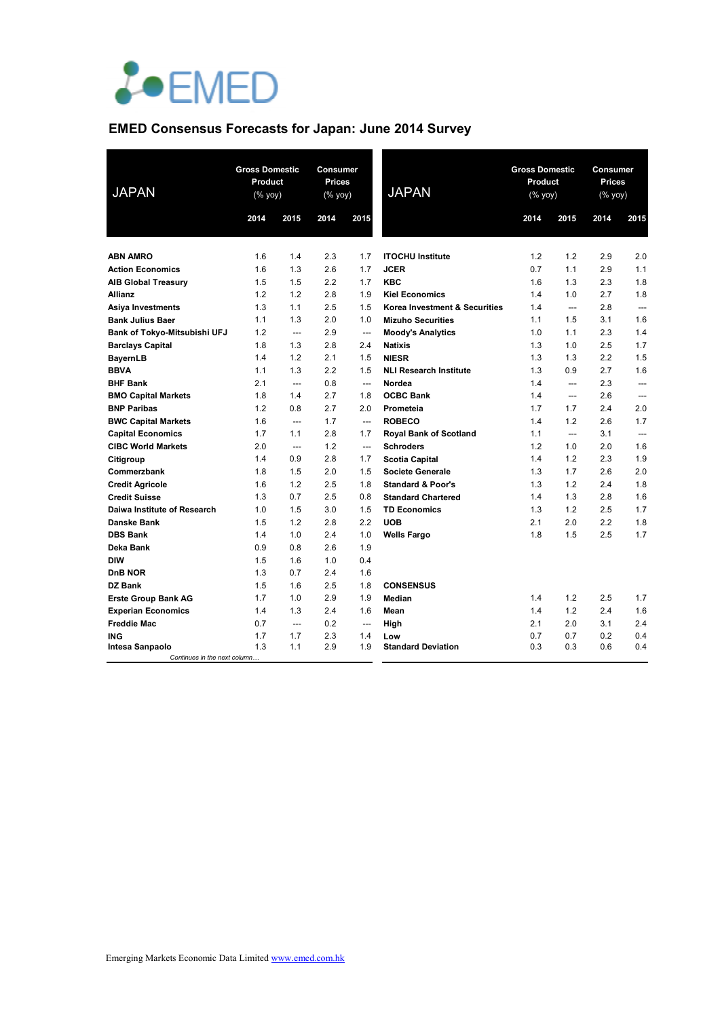

# **EMED Consensus Forecasts for Japan: June 2014 Survey**

| <b>JAPAN</b>                 |      | <b>Gross Domestic</b><br>Product<br>(% yoy) |      | Consumer<br>Prices<br>(% yoy) | <b>JAPAN</b>                  | <b>Gross Domestic</b><br>Product<br>(% yoy) |                | Consumer<br>Prices<br>(% yoy) |                |
|------------------------------|------|---------------------------------------------|------|-------------------------------|-------------------------------|---------------------------------------------|----------------|-------------------------------|----------------|
|                              | 2014 | 2015                                        | 2014 | 2015                          |                               | 2014                                        | 2015           | 2014                          | 2015           |
| <b>ABN AMRO</b>              | 1.6  | 1.4                                         | 2.3  | 1.7                           | <b>ITOCHU Institute</b>       | 1.2                                         | 1.2            | 2.9                           | 2.0            |
| <b>Action Economics</b>      | 1.6  | 1.3                                         | 2.6  | 1.7                           | <b>JCER</b>                   | 0.7                                         | 1.1            | 2.9                           | 1.1            |
| <b>AIB Global Treasury</b>   | 1.5  | 1.5                                         | 2.2  | 1.7                           | <b>KBC</b>                    | 1.6                                         | 1.3            | 2.3                           | 1.8            |
| <b>Allianz</b>               | 1.2  | 1.2                                         | 2.8  | 1.9                           | <b>Kiel Economics</b>         | 1.4                                         | 1.0            | 2.7                           | 1.8            |
| Asiya Investments            | 1.3  | 1.1                                         | 2.5  | 1.5                           | Korea Investment & Securities | 1.4                                         | ---            | 2.8                           | $\overline{a}$ |
| <b>Bank Julius Baer</b>      | 1.1  | 1.3                                         | 2.0  | 1.0                           | <b>Mizuho Securities</b>      | 1.1                                         | 1.5            | 3.1                           | 1.6            |
| Bank of Tokyo-Mitsubishi UFJ | 1.2  | ---                                         | 2.9  | $\overline{\phantom{a}}$      | <b>Moody's Analytics</b>      | 1.0                                         | 1.1            | 2.3                           | 1.4            |
| Barclays Capital             | 1.8  | 1.3                                         | 2.8  | 2.4                           | <b>Natixis</b>                | 1.3                                         | 1.0            | 2.5                           | 1.7            |
| <b>BayernLB</b>              | 1.4  | 1.2                                         | 2.1  | 1.5                           | <b>NIESR</b>                  | 1.3                                         | 1.3            | 2.2                           | 1.5            |
| <b>BBVA</b>                  | 1.1  | 1.3                                         | 2.2  | 1.5                           | <b>NLI Research Institute</b> | 1.3                                         | 0.9            | 2.7                           | 1.6            |
| <b>BHF Bank</b>              | 2.1  | ---                                         | 0.8  | ---                           | Nordea                        | 1.4                                         | ---            | 2.3                           | $\overline{a}$ |
| <b>BMO Capital Markets</b>   | 1.8  | 1.4                                         | 2.7  | 1.8                           | <b>OCBC Bank</b>              | 1.4                                         | $\overline{a}$ | 2.6                           | $\overline{a}$ |
| <b>BNP Paribas</b>           | 1.2  | 0.8                                         | 2.7  | 2.0                           | Prometeia                     | 1.7                                         | 1.7            | 2.4                           | 2.0            |
| <b>BWC Capital Markets</b>   | 1.6  | $\overline{a}$                              | 1.7  | $\overline{\phantom{a}}$      | <b>ROBECO</b>                 | 1.4                                         | 1.2            | 2.6                           | 1.7            |
| <b>Capital Economics</b>     | 1.7  | 1.1                                         | 2.8  | 1.7                           | <b>Royal Bank of Scotland</b> | 1.1                                         | $\overline{a}$ | 3.1                           | $---$          |
| <b>CIBC World Markets</b>    | 2.0  | $\overline{a}$                              | 1.2  | $\overline{a}$                | <b>Schroders</b>              | 1.2                                         | 1.0            | 2.0                           | 1.6            |
| Citigroup                    | 1.4  | 0.9                                         | 2.8  | 1.7                           | <b>Scotia Capital</b>         | 1.4                                         | 1.2            | 2.3                           | 1.9            |
| Commerzbank                  | 1.8  | 1.5                                         | 2.0  | 1.5                           | <b>Societe Generale</b>       | 1.3                                         | 1.7            | 2.6                           | 2.0            |
| <b>Credit Agricole</b>       | 1.6  | 1.2                                         | 2.5  | 1.8                           | <b>Standard &amp; Poor's</b>  | 1.3                                         | 1.2            | 2.4                           | 1.8            |
| <b>Credit Suisse</b>         | 1.3  | 0.7                                         | 2.5  | 0.8                           | <b>Standard Chartered</b>     | 1.4                                         | 1.3            | 2.8                           | 1.6            |
| Daiwa Institute of Research  | 1.0  | 1.5                                         | 3.0  | 1.5                           | <b>TD Economics</b>           | 1.3                                         | 1.2            | 2.5                           | 1.7            |
| <b>Danske Bank</b>           | 1.5  | 1.2                                         | 2.8  | 2.2                           | <b>UOB</b>                    | 2.1                                         | 2.0            | 2.2                           | 1.8            |
| <b>DBS Bank</b>              | 1.4  | 1.0                                         | 2.4  | 1.0                           | <b>Wells Fargo</b>            | 1.8                                         | 1.5            | 2.5                           | 1.7            |
| Deka Bank                    | 0.9  | 0.8                                         | 2.6  | 1.9                           |                               |                                             |                |                               |                |
| <b>DIW</b>                   | 1.5  | 1.6                                         | 1.0  | 0.4                           |                               |                                             |                |                               |                |
| <b>DnB NOR</b>               | 1.3  | 0.7                                         | 2.4  | 1.6                           |                               |                                             |                |                               |                |
| DZ Bank                      | 1.5  | 1.6                                         | 2.5  | 1.8                           | <b>CONSENSUS</b>              |                                             |                |                               |                |
| <b>Erste Group Bank AG</b>   | 1.7  | 1.0                                         | 2.9  | 1.9                           | Median                        | 1.4                                         | 1.2            | 2.5                           | 1.7            |
| <b>Experian Economics</b>    | 1.4  | 1.3                                         | 2.4  | 1.6                           | Mean                          | 1.4                                         | 1.2            | 2.4                           | 1.6            |
| <b>Freddie Mac</b>           | 0.7  | $\overline{a}$                              | 0.2  | $---$                         | High                          | 2.1                                         | 2.0            | 3.1                           | 2.4            |
| <b>ING</b>                   | 1.7  | 1.7                                         | 2.3  | 1.4                           | Low                           | 0.7                                         | 0.7            | 0.2                           | 0.4            |
| Intesa Sanpaolo              | 1.3  | 1.1                                         | 2.9  | 1.9                           | <b>Standard Deviation</b>     | 0.3                                         | 0.3            | 0.6                           | 0.4            |
| Continues in the next column |      |                                             |      |                               |                               |                                             |                |                               |                |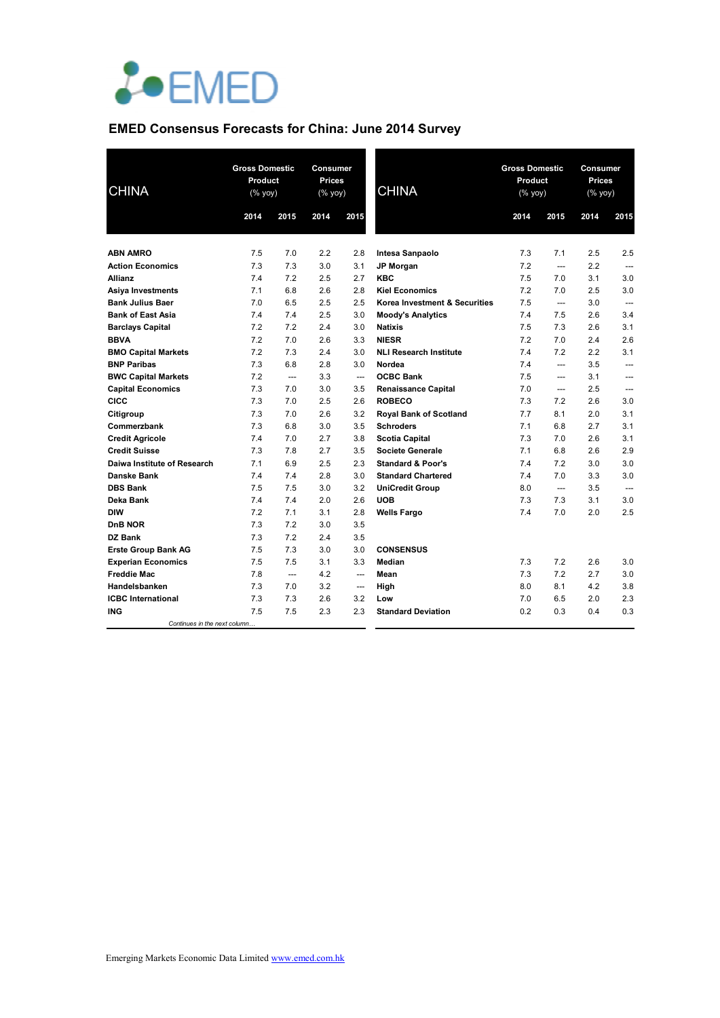

# **EMED Consensus Forecasts for China: June 2014 Survey**

| <b>CHINA</b>                  | <b>Gross Domestic</b><br>Product<br>$(\%$ yoy) |                | Consumer<br><b>Prices</b><br>$(% \overline{y}$ (% yoy) |                          | <b>CHINA</b>                  | <b>Gross Domestic</b><br>Product<br>$(% \mathsf{Y}^{\prime }\mathsf{Y}^{\prime }\mathsf{Y}^{\prime })$ |                | Consumer<br><b>Prices</b><br>$(\sqrt[6]{6}$ yoy) |                |
|-------------------------------|------------------------------------------------|----------------|--------------------------------------------------------|--------------------------|-------------------------------|--------------------------------------------------------------------------------------------------------|----------------|--------------------------------------------------|----------------|
|                               | 2014                                           | 2015           | 2014                                                   | 2015                     |                               | 2014                                                                                                   | 2015           | 2014                                             | 2015           |
| <b>ABN AMRO</b>               | 7.5                                            | 7.0            | 2.2                                                    | 2.8                      | Intesa Sanpaolo               | 7.3                                                                                                    | 7.1            | 2.5                                              | 2.5            |
| <b>Action Economics</b>       | 7.3                                            | 7.3            | 3.0                                                    | 3.1                      | <b>JP Morgan</b>              | 7.2                                                                                                    | $---$          | 2.2                                              | $\overline{a}$ |
| <b>Allianz</b>                | 7.4                                            | 7.2            | 2.5                                                    | 2.7                      | <b>KBC</b>                    | 7.5                                                                                                    | 7.0            | 3.1                                              | 3.0            |
| <b>Asiya Investments</b>      | 7.1                                            | 6.8            | 2.6                                                    | 2.8                      | <b>Kiel Economics</b>         | 7.2                                                                                                    | 7.0            | 2.5                                              | 3.0            |
| <b>Bank Julius Baer</b>       | 7.0                                            | 6.5            | 2.5                                                    | 2.5                      | Korea Investment & Securities | 7.5                                                                                                    | $---$          | 3.0                                              | ---            |
| <b>Bank of East Asia</b>      | 7.4                                            | 7.4            | 2.5                                                    | 3.0                      | <b>Moody's Analytics</b>      | 7.4                                                                                                    | 7.5            | 2.6                                              | 3.4            |
| <b>Barclays Capital</b>       | 7.2                                            | 7.2            | 2.4                                                    | 3.0                      | <b>Natixis</b>                | 7.5                                                                                                    | 7.3            | 2.6                                              | 3.1            |
| <b>BBVA</b>                   | 7.2                                            | 7.0            | 2.6                                                    | 3.3                      | <b>NIESR</b>                  | 7.2                                                                                                    | 7.0            | 2.4                                              | 2.6            |
| <b>BMO Capital Markets</b>    | 7.2                                            | 7.3            | 2.4                                                    | 3.0                      | <b>NLI Research Institute</b> | 7.4                                                                                                    | 7.2            | 2.2                                              | 3.1            |
| <b>BNP Paribas</b>            | 7.3                                            | 6.8            | 2.8                                                    | 3.0                      | Nordea                        | 7.4                                                                                                    | $---$          | 3.5                                              | $\overline{a}$ |
| <b>BWC Capital Markets</b>    | 7.2                                            | $\overline{a}$ | 3.3                                                    | $\overline{\phantom{a}}$ | <b>OCBC Bank</b>              | 7.5                                                                                                    | $---$          | 3.1                                              | $---$          |
| <b>Capital Economics</b>      | 7.3                                            | 7.0            | 3.0                                                    | 3.5                      | <b>Renaissance Capital</b>    | 7.0                                                                                                    | $---$          | 2.5                                              | ---            |
| <b>CICC</b>                   | 7.3                                            | 7.0            | 2.5                                                    | 2.6                      | <b>ROBECO</b>                 | 7.3                                                                                                    | 7.2            | 2.6                                              | 3.0            |
| Citigroup                     | 7.3                                            | 7.0            | 2.6                                                    | 3.2                      | <b>Royal Bank of Scotland</b> | 7.7                                                                                                    | 8.1            | 2.0                                              | 3.1            |
| Commerzbank                   | 7.3                                            | 6.8            | 3.0                                                    | 3.5                      | <b>Schroders</b>              | 7.1                                                                                                    | 6.8            | 2.7                                              | 3.1            |
| <b>Credit Agricole</b>        | 7.4                                            | 7.0            | 2.7                                                    | 3.8                      | <b>Scotia Capital</b>         | 7.3                                                                                                    | 7.0            | 2.6                                              | 3.1            |
| <b>Credit Suisse</b>          | 7.3                                            | 7.8            | 2.7                                                    | 3.5                      | <b>Societe Generale</b>       | 7.1                                                                                                    | 6.8            | 2.6                                              | 2.9            |
| Daiwa Institute of Research   | 7.1                                            | 6.9            | 2.5                                                    | 2.3                      | <b>Standard &amp; Poor's</b>  | 7.4                                                                                                    | 7.2            | 3.0                                              | 3.0            |
| <b>Danske Bank</b>            | 7.4                                            | 7.4            | 2.8                                                    | 3.0                      | <b>Standard Chartered</b>     | 7.4                                                                                                    | 7.0            | 3.3                                              | 3.0            |
| <b>DBS Bank</b>               | 7.5                                            | 7.5            | 3.0                                                    | 3.2                      | <b>UniCredit Group</b>        | 8.0                                                                                                    | $\overline{a}$ | 3.5                                              |                |
| Deka Bank                     | 7.4                                            | 7.4            | 2.0                                                    | 2.6                      | <b>UOB</b>                    | 7.3                                                                                                    | 7.3            | 3.1                                              | 3.0            |
| <b>DIW</b>                    | 7.2                                            | 7.1            | 3.1                                                    | 2.8                      | <b>Wells Fargo</b>            | 7.4                                                                                                    | 7.0            | 2.0                                              | 2.5            |
| DnB NOR                       | 7.3                                            | 7.2            | 3.0                                                    | 3.5                      |                               |                                                                                                        |                |                                                  |                |
| DZ Bank                       | 7.3                                            | 7.2            | 2.4                                                    | 3.5                      |                               |                                                                                                        |                |                                                  |                |
| <b>Erste Group Bank AG</b>    | 7.5                                            | 7.3            | 3.0                                                    | 3.0                      | <b>CONSENSUS</b>              |                                                                                                        |                |                                                  |                |
| <b>Experian Economics</b>     | 7.5                                            | 7.5            | 3.1                                                    | 3.3                      | Median                        | 7.3                                                                                                    | 7.2            | 2.6                                              | 3.0            |
| <b>Freddie Mac</b>            | 7.8                                            | ---            | 4.2                                                    | $---$                    | Mean                          | 7.3                                                                                                    | 7.2            | 2.7                                              | 3.0            |
| Handelsbanken                 | 7.3                                            | 7.0            | 3.2                                                    | ---                      | High                          | 8.0                                                                                                    | 8.1            | 4.2                                              | 3.8            |
| <b>ICBC</b> International     | 7.3                                            | 7.3            | 2.6                                                    | 3.2                      | Low                           | 7.0                                                                                                    | 6.5            | 2.0                                              | 2.3            |
| <b>ING</b>                    | 7.5                                            | 7.5            | 2.3                                                    | 2.3                      | <b>Standard Deviation</b>     | 0.2                                                                                                    | 0.3            | 0.4                                              | 0.3            |
| Continues in the next column. |                                                |                |                                                        |                          |                               |                                                                                                        |                |                                                  |                |